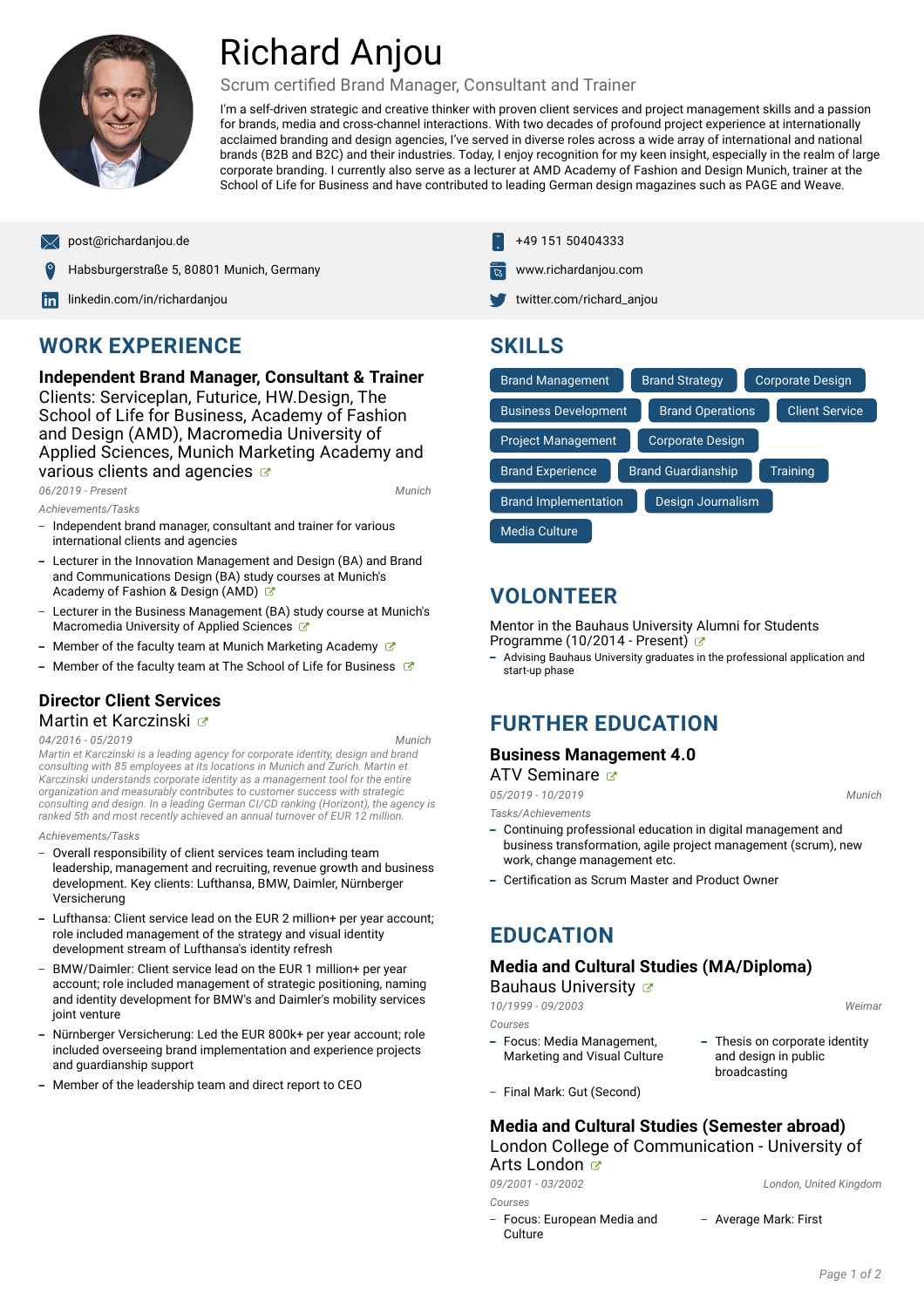

# Richard Anjou

#### Scrum certified Brand Manager, Consultant and Trainer

I'm a self-driven strategic and creative thinker with proven client services and project management skills and a passion for brands, media and cross-channel interactions. With two decades of profound project experience at internationally acclaimed branding and design agencies, I've served in diverse roles across a wide array of international and national brands (B2B and B2C) and their industries. Today, I enjoy recognition for my keen insight, especially in the realm of large corporate branding. I currently also serve as a lecturer at AMD Academy of Fashion and Design Munich, trainer at the School of Life for Business and have contributed to leading German design magazines such as PAGE and Weave.

Habsburgerstraße 5, 80801 Munich, Germany [www.richardanjou.com](http://www.richardanjou.com)

[linkedin.com/in/richardanjou](https://www.linkedin.com/in/richardanjou/) [twitter.com/richard\\_anjou](https://twitter.com/richard_anjou) twitter.com/richard\_anjou

### **WORK EXPERIENCE**

**Independent Brand Manager, Consultant & Trainer** Clients: Serviceplan, Futurice, HW.Design, The School of Life for Business, Academy of Fashion and Design (AMD), Macromedia University of Applied Sciences, Munich Marketing Academy and various clients and agencies  $\sigma$ 

*06/2019 - Present*, *Munich*

*Achievements/Tasks*

- Independent brand manager, consultant and trainer for various international clients and agencies
- Lecturer in the Innovation Management and Design (BA) and Brand and Communications Design (BA) study courses at Munich's Academy of Fashion & Design (AMD)
- Lecturer in the Business Management (BA) study course at Munich's Macromedia University of Applied Sciences
- Member of the faculty team at Munich Marketing Academy  $\mathbb{Z}^n$
- Member of the faculty team at The School of Life for Business  $\mathbb{Z}^n$

#### **Director Client Services** Martin et Karczinski

#### *04/2016 - 05/2019*, *Munich*

*Martin et Karczinski is a leading agency for corporate identity, design and brand consulting with 85 employees at its locations in Munich and Zurich. Martin et Karczinski understands corporate identity as a management tool for the entire organization and measurably contributes to customer success with strategic* consulting and design. In a leading German CI/CD ranking (Horizont), the agency is<br>ranked 5th and most recently achieved an annual turnover of EUR 12 million.

#### *Achievements/Tasks*

- Overall responsibility of client services team including team leadership, management and recruiting, revenue growth and business development. Key clients: Lufthansa, BMW, Daimler, Nürnberger Versicherung
- Lufthansa: Client service lead on the EUR 2 million+ per year account; role included management of the strategy and visual identity development stream of Lufthansa's identity refresh
- BMW/Daimler: Client service lead on the EUR 1 million+ per year account; role included management of strategic positioning, naming and identity development for BMW's and Daimler's mobility services joint venture
- Nürnberger Versicherung: Led the EUR 800k+ per year account; role included overseeing brand implementation and experience projects and guardianship support
- Member of the leadership team and direct report to CEO
- [post@richardanjou.de](mailto:post@richardanjou.de) +49 151 50404333
	-
	-

### **SKILLS**

| <b>Brand Management</b>     | <b>Brand Strategy</b>     | <b>Corporate Design</b> |
|-----------------------------|---------------------------|-------------------------|
| <b>Business Development</b> | <b>Brand Operations</b>   | <b>Client Service</b>   |
| <b>Project Management</b>   | <b>Corporate Design</b>   |                         |
| <b>Brand Experience</b>     | <b>Brand Guardianship</b> | Training                |
| <b>Brand Implementation</b> | Design Journalism         |                         |
| Media Culture               |                           |                         |

### **VOLONTEER**

Mentor in the Bauhaus University Alumni for Students Programme (10/2014 - Present)

- Advising Bauhaus University graduates in the professional application and start-up phase

### **FURTHER EDUCATION**

#### **Business Management 4.0**

ATV Seminare  $\sigma$ 

*05/2019 - 10/2019*, *Munich*

*Tasks/Achievements*

- Continuing professional education in digital management and business transformation, agile project management (scrum), new work, change management etc.
- Certification as Scrum Master and Product Owner

### **EDUCATION**

#### **Media and Cultural Studies (MA/Diploma)** Bauhaus University **&**

*10/1999 - 09/2003*, *Weimar*

- *Courses*
- Focus: Media Management,
- Focus: Media Management,  $\overline{\phantom{a}}$  Thesis on corporate identity<br>Marketing and Visual Culture and design in public broadcasting
- Final Mark: Gut (Second)

#### **Media and Cultural Studies (Semester abroad)** London College of Communication - University of Arts London **Ø**

*09/2001 - 03/2002*, *London, United Kingdom*

*Courses*

Focus: European Media and – Average Mark: First<br>Culture